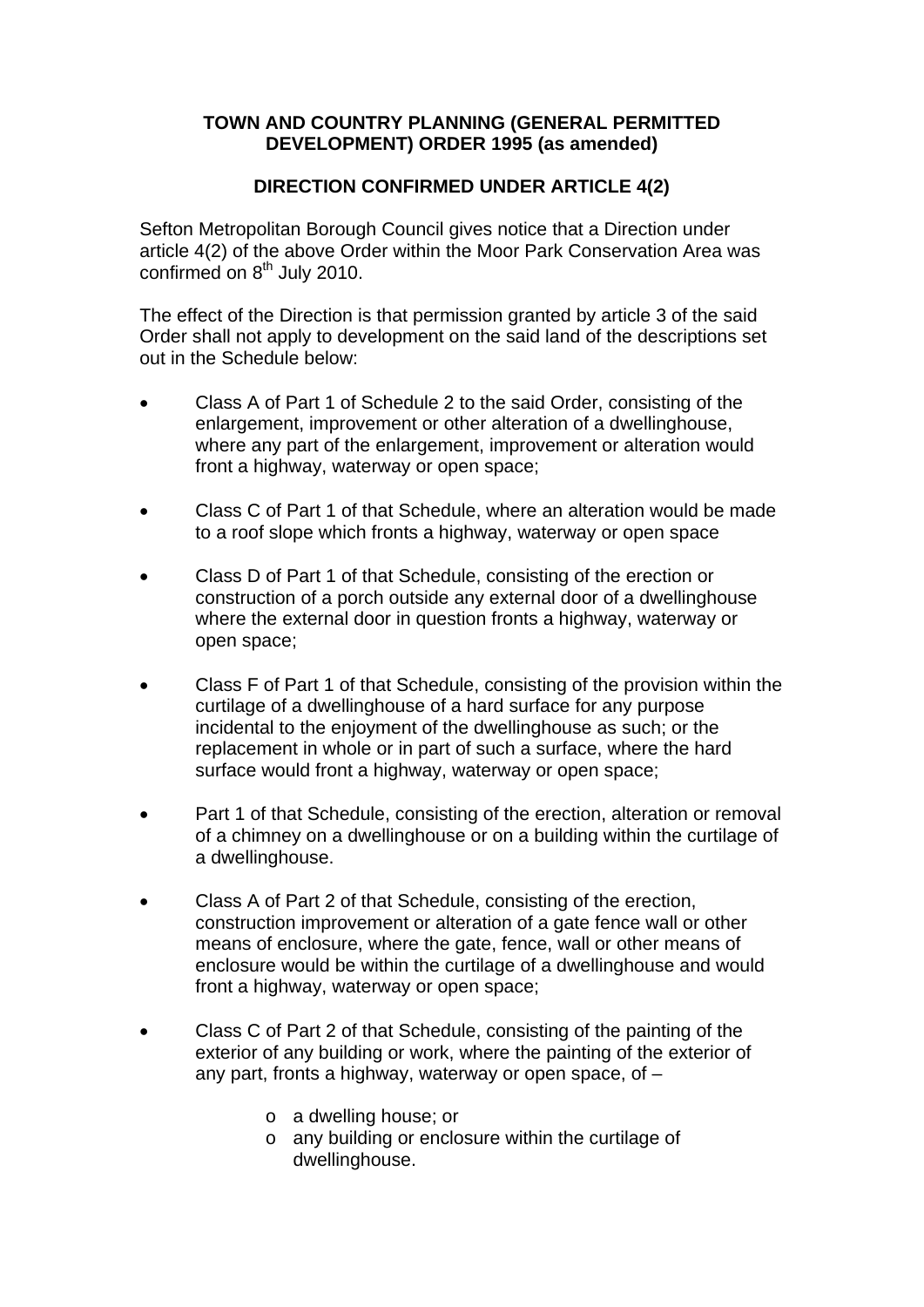## **TOWN AND COUNTRY PLANNING (GENERAL PERMITTED DEVELOPMENT) ORDER 1995 (as amended)**

## **DIRECTION CONFIRMED UNDER ARTICLE 4(2)**

Sefton Metropolitan Borough Council gives notice that a Direction under article 4(2) of the above Order within the Moor Park Conservation Area was confirmed on 8<sup>th</sup> July 2010.

The effect of the Direction is that permission granted by article 3 of the said Order shall not apply to development on the said land of the descriptions set out in the Schedule below:

- Class A of Part 1 of Schedule 2 to the said Order, consisting of the enlargement, improvement or other alteration of a dwellinghouse, where any part of the enlargement, improvement or alteration would front a highway, waterway or open space;
- Class C of Part 1 of that Schedule, where an alteration would be made to a roof slope which fronts a highway, waterway or open space
- Class D of Part 1 of that Schedule, consisting of the erection or construction of a porch outside any external door of a dwellinghouse where the external door in question fronts a highway, waterway or open space;
- Class F of Part 1 of that Schedule, consisting of the provision within the curtilage of a dwellinghouse of a hard surface for any purpose incidental to the enjoyment of the dwellinghouse as such; or the replacement in whole or in part of such a surface, where the hard surface would front a highway, waterway or open space;
- Part 1 of that Schedule, consisting of the erection, alteration or removal of a chimney on a dwellinghouse or on a building within the curtilage of a dwellinghouse.
- Class A of Part 2 of that Schedule, consisting of the erection, construction improvement or alteration of a gate fence wall or other means of enclosure, where the gate, fence, wall or other means of enclosure would be within the curtilage of a dwellinghouse and would front a highway, waterway or open space;
- Class C of Part 2 of that Schedule, consisting of the painting of the exterior of any building or work, where the painting of the exterior of any part, fronts a highway, waterway or open space, of –
	- o a dwelling house; or
	- o any building or enclosure within the curtilage of dwellinghouse.